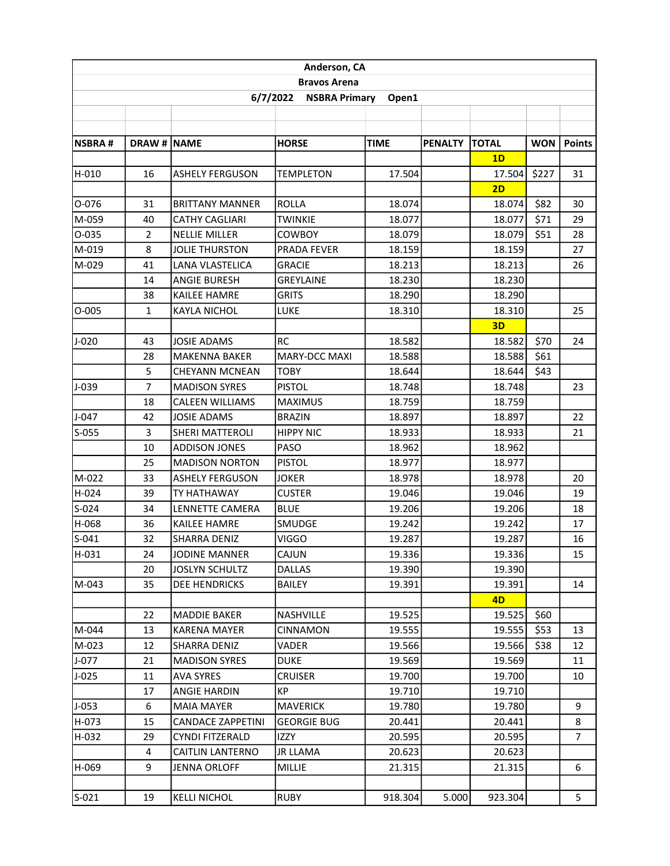| Anderson, CA                              |                     |                          |                    |             |                |                |            |               |  |  |  |  |  |
|-------------------------------------------|---------------------|--------------------------|--------------------|-------------|----------------|----------------|------------|---------------|--|--|--|--|--|
| <b>Bravos Arena</b>                       |                     |                          |                    |             |                |                |            |               |  |  |  |  |  |
| <b>NSBRA Primary</b><br>6/7/2022<br>Open1 |                     |                          |                    |             |                |                |            |               |  |  |  |  |  |
|                                           |                     |                          |                    |             |                |                |            |               |  |  |  |  |  |
|                                           |                     |                          |                    |             |                |                |            |               |  |  |  |  |  |
| <b>NSBRA#</b>                             | <b>DRAW # INAME</b> |                          | <b>HORSE</b>       | <b>TIME</b> | <b>PENALTY</b> | <b>TOTAL</b>   | <b>WON</b> | <b>Points</b> |  |  |  |  |  |
|                                           | 16                  |                          |                    |             |                | 1D             | \$227      |               |  |  |  |  |  |
| H-010                                     |                     | <b>ASHELY FERGUSON</b>   | <b>TEMPLETON</b>   | 17.504      |                | 17.504<br>2D   |            | 31            |  |  |  |  |  |
| O-076                                     | 31                  | <b>BRITTANY MANNER</b>   | <b>ROLLA</b>       | 18.074      |                | 18.074         | \$82       | 30            |  |  |  |  |  |
| M-059                                     | 40                  | <b>CATHY CAGLIARI</b>    | <b>TWINKIE</b>     | 18.077      |                | 18.077         | \$71       | 29            |  |  |  |  |  |
| O-035                                     | $\overline{2}$      | NELLIE MILLER            | <b>COWBOY</b>      | 18.079      |                | 18.079         | \$51       | 28            |  |  |  |  |  |
| M-019                                     | 8                   | <b>JOLIE THURSTON</b>    | PRADA FEVER        | 18.159      |                | 18.159         |            | 27            |  |  |  |  |  |
| M-029                                     | 41                  | LANA VLASTELICA          | <b>GRACIE</b>      | 18.213      |                | 18.213         |            | 26            |  |  |  |  |  |
|                                           | 14                  | <b>ANGIE BURESH</b>      | <b>GREYLAINE</b>   | 18.230      |                | 18.230         |            |               |  |  |  |  |  |
|                                           | 38                  | <b>KAILEE HAMRE</b>      | <b>GRITS</b>       | 18.290      |                | 18.290         |            |               |  |  |  |  |  |
| $O-005$                                   | $\mathbf{1}$        | <b>KAYLA NICHOL</b>      | <b>LUKE</b>        | 18.310      |                | 18.310         |            | 25            |  |  |  |  |  |
|                                           |                     |                          |                    |             |                | 3D             |            |               |  |  |  |  |  |
| $J-020$                                   | 43                  | JOSIE ADAMS              | <b>RC</b>          | 18.582      |                | 18.582         | \$70       | 24            |  |  |  |  |  |
|                                           | 28                  | MAKENNA BAKER            | MARY-DCC MAXI      | 18.588      |                | 18.588         | \$61       |               |  |  |  |  |  |
|                                           | 5                   | <b>CHEYANN MCNEAN</b>    | <b>TOBY</b>        | 18.644      |                | 18.644         | \$43       |               |  |  |  |  |  |
| $J-039$                                   | $\overline{7}$      | <b>MADISON SYRES</b>     | <b>PISTOL</b>      | 18.748      |                | 18.748         |            | 23            |  |  |  |  |  |
|                                           | 18                  | <b>CALEEN WILLIAMS</b>   | <b>MAXIMUS</b>     | 18.759      |                | 18.759         |            |               |  |  |  |  |  |
| $J-047$                                   | 42                  | JOSIE ADAMS              | <b>BRAZIN</b>      | 18.897      |                | 18.897         |            | 22            |  |  |  |  |  |
| $S-055$                                   | $\overline{3}$      | <b>SHERI MATTEROLI</b>   | <b>HIPPY NIC</b>   | 18.933      |                | 18.933         |            | 21            |  |  |  |  |  |
|                                           | 10                  | <b>ADDISON JONES</b>     | PASO               | 18.962      |                | 18.962         |            |               |  |  |  |  |  |
|                                           | 25                  | <b>MADISON NORTON</b>    | <b>PISTOL</b>      | 18.977      |                | 18.977         |            |               |  |  |  |  |  |
| M-022                                     | 33                  | ASHELY FERGUSON          | <b>JOKER</b>       | 18.978      |                | 18.978         |            | 20            |  |  |  |  |  |
| H-024                                     | 39                  | TY HATHAWAY              | <b>CUSTER</b>      | 19.046      |                | 19.046         |            | 19            |  |  |  |  |  |
| $S-024$                                   | 34                  | LENNETTE CAMERA          | <b>BLUE</b>        | 19.206      |                | 19.206         |            | 18            |  |  |  |  |  |
| H-068                                     | 36                  | <b>KAILEE HAMRE</b>      | SMUDGE             | 19.242      |                | 19.242         |            | 17            |  |  |  |  |  |
| $S-041$                                   | 32                  | <b>SHARRA DENIZ</b>      | <b>VIGGO</b>       | 19.287      |                | 19.287         |            | 16            |  |  |  |  |  |
| H-031                                     | 24                  | JODINE MANNER            | <b>CAJUN</b>       | 19.336      |                | 19.336         |            | 15            |  |  |  |  |  |
|                                           | 20                  | JOSLYN SCHULTZ           | <b>DALLAS</b>      | 19.390      |                | 19.390         |            |               |  |  |  |  |  |
| M-043                                     | 35                  | <b>DEE HENDRICKS</b>     | BAILEY             | 19.391      |                | 19.391         |            | 14            |  |  |  |  |  |
|                                           |                     |                          |                    |             |                | 4 <sub>D</sub> |            |               |  |  |  |  |  |
|                                           | 22                  | <b>MADDIE BAKER</b>      | NASHVILLE          | 19.525      |                | 19.525         | \$60       |               |  |  |  |  |  |
| M-044                                     | 13                  | <b>KARENA MAYER</b>      | <b>CINNAMON</b>    | 19.555      |                | 19.555         | \$53       | 13            |  |  |  |  |  |
| M-023                                     | 12                  | SHARRA DENIZ             | VADER              | 19.566      |                | 19.566         | \$38       | 12            |  |  |  |  |  |
| $J-077$                                   | 21                  | <b>MADISON SYRES</b>     | <b>DUKE</b>        | 19.569      |                | 19.569         |            | 11            |  |  |  |  |  |
| $J-025$                                   | 11                  | <b>AVA SYRES</b>         | <b>CRUISER</b>     | 19.700      |                | 19.700         |            | 10            |  |  |  |  |  |
|                                           | 17                  | <b>ANGIE HARDIN</b>      | КP                 | 19.710      |                | 19.710         |            |               |  |  |  |  |  |
| $J-053$                                   | 6                   | <b>MAIA MAYER</b>        | <b>MAVERICK</b>    | 19.780      |                | 19.780         |            | 9             |  |  |  |  |  |
| H-073                                     | 15                  | <b>CANDACE ZAPPETINI</b> | <b>GEORGIE BUG</b> | 20.441      |                | 20.441         |            | 8             |  |  |  |  |  |
| H-032                                     | 29                  | CYNDI FITZERALD          | IZZY               | 20.595      |                | 20.595         |            | 7             |  |  |  |  |  |
|                                           | 4                   | CAITLIN LANTERNO         | JR LLAMA           | 20.623      |                | 20.623         |            |               |  |  |  |  |  |
| H-069                                     | 9                   | JENNA ORLOFF             | MILLIE             | 21.315      |                | 21.315         |            | 6             |  |  |  |  |  |
|                                           |                     |                          |                    |             |                |                |            |               |  |  |  |  |  |
| $S-021$                                   | 19                  | <b>KELLI NICHOL</b>      | <b>RUBY</b>        | 918.304     | 5.000          | 923.304        |            | 5             |  |  |  |  |  |